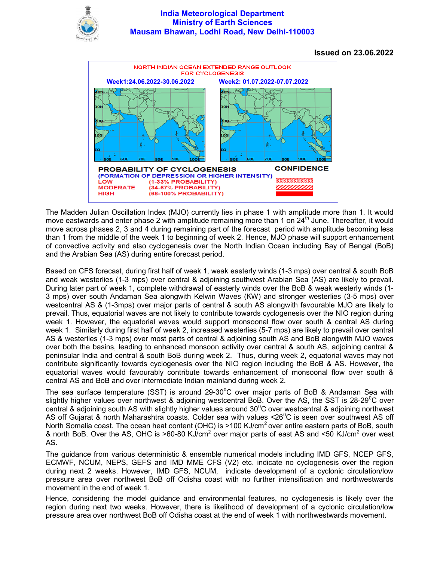

## India Meteorological Department Ministry of Earth Sciences Mausam Bhawan, Lodhi Road, New Delhi-110003

Issued on 23.06.2022



The Madden Julian Oscillation Index (MJO) currently lies in phase 1 with amplitude more than 1. It would move eastwards and enter phase 2 with amplitude remaining more than 1 on  $24^{\text{th}}$  June. Thereafter, it would move across phases 2, 3 and 4 during remaining part of the forecast period with amplitude becoming less than 1 from the middle of the week 1 to beginning of week 2. Hence, MJO phase will support enhancement of convective activity and also cyclogenesis over the North Indian Ocean including Bay of Bengal (BoB) and the Arabian Sea (AS) during entire forecast period.

Based on CFS forecast, during first half of week 1, weak easterly winds (1-3 mps) over central & south BoB and weak westerlies (1-3 mps) over central & adjoining southwest Arabian Sea (AS) are likely to prevail. During later part of week 1, complete withdrawal of easterly winds over the BoB & weak westerly winds (1- 3 mps) over south Andaman Sea alongwith Kelwin Waves (KW) and stronger westerlies (3-5 mps) over westcentral AS & (1-3mps) over major parts of central & south AS alongwith favourable MJO are likely to prevail. Thus, equatorial waves are not likely to contribute towards cyclogenesis over the NIO region during week 1. However, the equatorial waves would support monsoonal flow over south & central AS during week 1. Similarly during first half of week 2, increased westerlies (5-7 mps) are likely to prevail over central AS & westerlies (1-3 mps) over most parts of central & adjoining south AS and BoB alongwith MJO waves over both the basins, leading to enhanced monsoon activity over central & south AS, adjoining central & peninsular India and central & south BoB during week 2. Thus, during week 2, equatorial waves may not contribute significantly towards cyclogenesis over the NIO region including the BoB & AS. However, the equatorial waves would favourably contribute towards enhancement of monsoonal flow over south & central AS and BoB and over intermediate Indian mainland during week 2.

The sea surface temperature (SST) is around 29-30 $^{\circ}$ C over major parts of BoB & Andaman Sea with slightly higher values over northwest & adjoining westcentral BoB. Over the AS, the SST is 28-29<sup>0</sup>C over central & adjoining south AS with slightly higher values around  $30^{\circ}$ C over westcentral & adjoining northwest AS off Gujarat & north Maharashtra coasts. Colder sea with values  $\leq 26^{\circ}$ C is seen over southwest AS off North Somalia coast. The ocean heat content (OHC) is >100 KJ/cm<sup>2</sup> over entire eastern parts of BoB, south & north BoB. Over the AS, OHC is >60-80 KJ/cm<sup>2</sup> over major parts of east AS and <50 KJ/cm<sup>2</sup> over west AS.

The guidance from various deterministic & ensemble numerical models including IMD GFS, NCEP GFS, ECMWF, NCUM, NEPS, GEFS and IMD MME CFS (V2) etc. indicate no cyclogenesis over the region during next 2 weeks. However, IMD GFS, NCUM, indicate development of a cyclonic circulation/low pressure area over northwest BoB off Odisha coast with no further intensification and northwestwards movement in the end of week 1.

Hence, considering the model guidance and environmental features, no cyclogenesis is likely over the region during next two weeks. However, there is likelihood of development of a cyclonic circulation/low pressure area over northwest BoB off Odisha coast at the end of week 1 with northwestwards movement.